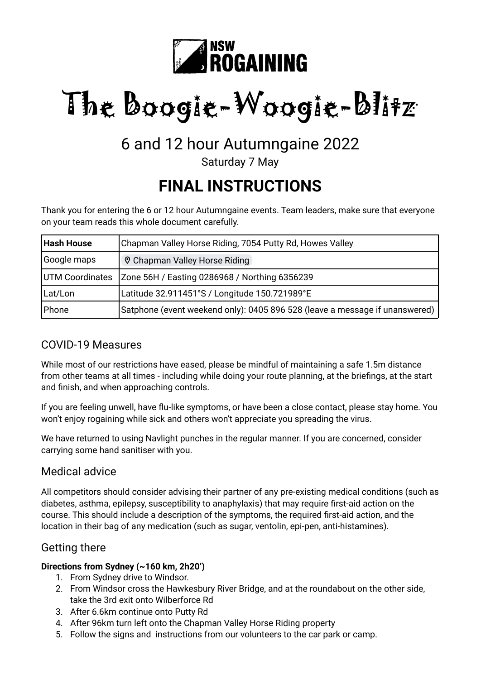

# The Boogie-Woogie-Blitz

### 6 and 12 hour Autumngaine 2022

Saturday 7 May

## **FINAL INSTRUCTIONS**

Thank you for entering the 6 or 12 hour Autumngaine events. Team leaders, make sure that everyone on your team reads this whole document carefully.

| Hash House      | Chapman Valley Horse Riding, 7054 Putty Rd, Howes Valley                    |
|-----------------|-----------------------------------------------------------------------------|
| Google maps     | ♡ Chapman Valley Horse Riding                                               |
| UTM Coordinates | Zone 56H / Easting 0286968 / Northing 6356239                               |
| Lat/Lon         | Latitude 32.911451°S / Longitude 150.721989°E                               |
| Phone           | Satphone (event weekend only): 0405 896 528 (leave a message if unanswered) |

#### COVID-19 Measures

While most of our restrictions have eased, please be mindful of maintaining a safe 1.5m distance from other teams at all times - including while doing your route planning, at the briefings, at the start and finish, and when approaching controls.

If you are feeling unwell, have flu-like symptoms, or have been a close contact, please stay home. You won't enjoy rogaining while sick and others won't appreciate you spreading the virus.

We have returned to using Navlight punches in the regular manner. If you are concerned, consider carrying some hand sanitiser with you.

#### Medical advice

All competitors should consider advising their partner of any pre-existing medical conditions (such as diabetes, asthma, epilepsy, susceptibility to anaphylaxis) that may require first-aid action on the course. This should include a description of the symptoms, the required first-aid action, and the location in their bag of any medication (such as sugar, ventolin, epi-pen, anti-histamines).

#### Getting there

#### **Directions from Sydney (~160 km, 2h20')**

- 1. From Sydney drive to Windsor.
- 2. From Windsor cross the Hawkesbury River Bridge, and at the roundabout on the other side, take the 3rd exit onto Wilberforce Rd
- 3. After 6.6km continue onto Putty Rd
- 4. After 96km turn left onto the Chapman Valley Horse Riding property
- 5. Follow the signs and instructions from our volunteers to the car park or camp.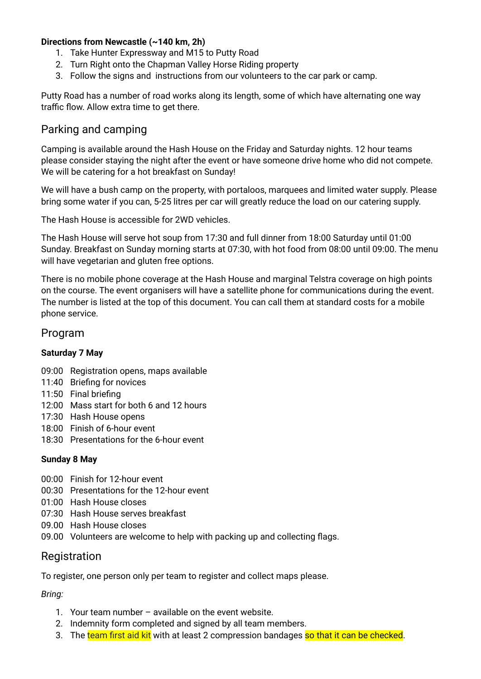#### **Directions from Newcastle (~140 km, 2h)**

- 1. Take Hunter Expressway and M15 to Putty Road
- 2. Turn Right onto the Chapman Valley Horse Riding property
- 3. Follow the signs and instructions from our volunteers to the car park or camp.

Putty Road has a number of road works along its length, some of which have alternating one way traffic flow. Allow extra time to get there.

#### Parking and camping

Camping is available around the Hash House on the Friday and Saturday nights. 12 hour teams please consider staying the night after the event or have someone drive home who did not compete. We will be catering for a hot breakfast on Sunday!

We will have a bush camp on the property, with portaloos, marquees and limited water supply. Please bring some water if you can, 5-25 litres per car will greatly reduce the load on our catering supply.

The Hash House is accessible for 2WD vehicles.

The Hash House will serve hot soup from 17:30 and full dinner from 18:00 Saturday until 01:00 Sunday. Breakfast on Sunday morning starts at 07:30, with hot food from 08:00 until 09:00. The menu will have vegetarian and gluten free options.

There is no mobile phone coverage at the Hash House and marginal Telstra coverage on high points on the course. The event organisers will have a satellite phone for communications during the event. The number is listed at the top of this document. You can call them at standard costs for a mobile phone service.

#### Program

#### **Saturday 7 May**

- 09:00 Registration opens, maps available
- 11:40 Briefing for novices
- 11:50 Final briefing
- 12:00 Mass start for both 6 and 12 hours
- 17:30 Hash House opens
- 18:00 Finish of 6-hour event
- 18:30 Presentations for the 6-hour event

#### **Sunday 8 May**

- 00:00 Finish for 12-hour event
- 00:30 Presentations for the 12-hour event
- 01:00 Hash House closes
- 07:30 Hash House serves breakfast
- 09.00 Hash House closes
- 09.00 Volunteers are welcome to help with packing up and collecting flags.

#### Registration

To register, one person only per team to register and collect maps please.

*Bring:*

- 1. Your team number available on the event website.
- 2. Indemnity form completed and signed by all team members.
- 3. The team first aid kit with at least 2 compression bandages so that it can be checked.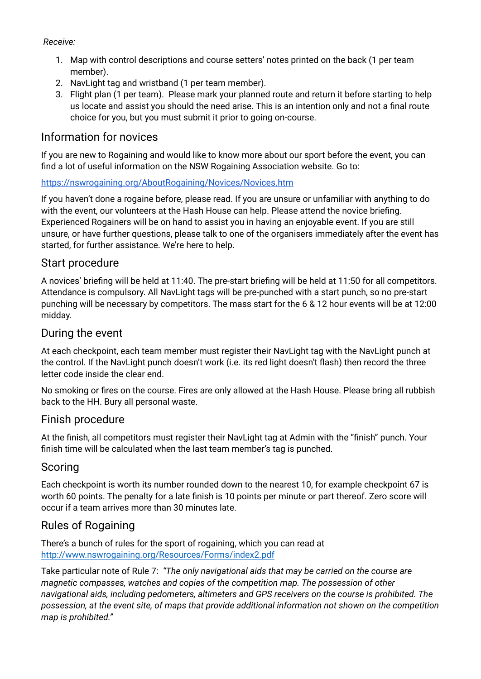#### *Receive:*

- 1. Map with control descriptions and course setters' notes printed on the back (1 per team member).
- 2. NavLight tag and wristband (1 per team member).
- 3. Flight plan (1 per team). Please mark your planned route and return it before starting to help us locate and assist you should the need arise. This is an intention only and not a final route choice for you, but you must submit it prior to going on-course.

#### Information for novices

If you are new to Rogaining and would like to know more about our sport before the event, you can find a lot of useful information on the NSW Rogaining Association website. Go to:

#### <https://nswrogaining.org/AboutRogaining/Novices/Novices.htm>

If you haven't done a rogaine before, please read. If you are unsure or unfamiliar with anything to do with the event, our volunteers at the Hash House can help. Please attend the novice briefing. Experienced Rogainers will be on hand to assist you in having an enjoyable event. If you are still unsure, or have further questions, please talk to one of the organisers immediately after the event has started, for further assistance. We're here to help.

#### Start procedure

A novices' briefing will be held at 11:40. The pre-start briefing will be held at 11:50 for all competitors. Attendance is compulsory. All NavLight tags will be pre-punched with a start punch, so no pre-start punching will be necessary by competitors. The mass start for the 6 & 12 hour events will be at 12:00 midday.

#### During the event

At each checkpoint, each team member must register their NavLight tag with the NavLight punch at the control. If the NavLight punch doesn't work (i.e. its red light doesn't flash) then record the three letter code inside the clear end.

No smoking or fires on the course. Fires are only allowed at the Hash House. Please bring all rubbish back to the HH. Bury all personal waste.

#### Finish procedure

At the finish, all competitors must register their NavLight tag at Admin with the "finish" punch. Your finish time will be calculated when the last team member's tag is punched.

#### Scoring

Each checkpoint is worth its number rounded down to the nearest 10, for example checkpoint 67 is worth 60 points. The penalty for a late finish is 10 points per minute or part thereof. Zero score will occur if a team arrives more than 30 minutes late.

#### Rules of Rogaining

There's a bunch of rules for the sport of rogaining, which you can read at <http://www.nswrogaining.org/Resources/Forms/index2.pdf>

Take particular note of Rule 7: *"The only navigational aids that may be carried on the course are magnetic compasses, watches and copies of the competition map. The possession of other navigational aids, including pedometers, altimeters and GPS receivers on the course is prohibited. The possession, at the event site, of maps that provide additional information not shown on the competition map is prohibited."*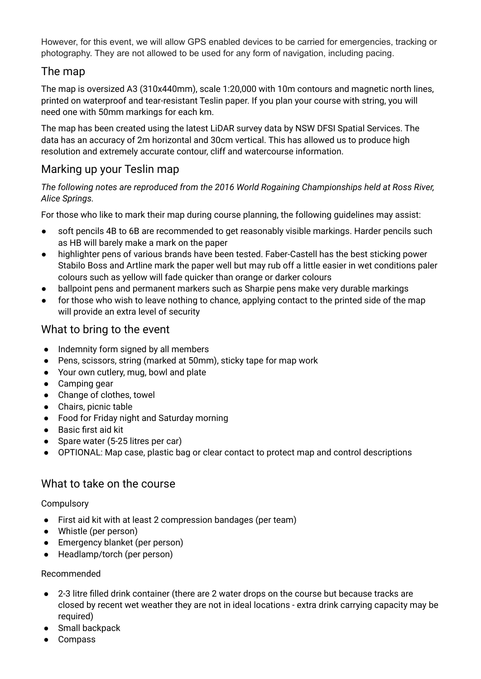However, for this event, we will allow GPS enabled devices to be carried for emergencies, tracking or photography. They are not allowed to be used for any form of navigation, including pacing.

#### The map

The map is oversized A3 (310x440mm), scale 1:20,000 with 10m contours and magnetic north lines, printed on waterproof and tear-resistant Teslin paper. If you plan your course with string, you will need one with 50mm markings for each km.

The map has been created using the latest LiDAR survey data by NSW DFSI Spatial Services. The data has an accuracy of 2m horizontal and 30cm vertical. This has allowed us to produce high resolution and extremely accurate contour, cliff and watercourse information.

#### Marking up your Teslin map

*The following notes are reproduced from the 2016 World Rogaining Championships held at Ross River, Alice Springs.*

For those who like to mark their map during course planning, the following guidelines may assist:

- soft pencils 4B to 6B are recommended to get reasonably visible markings. Harder pencils such as HB will barely make a mark on the paper
- highlighter pens of various brands have been tested. Faber-Castell has the best sticking power Stabilo Boss and Artline mark the paper well but may rub off a little easier in wet conditions paler colours such as yellow will fade quicker than orange or darker colours
- ballpoint pens and permanent markers such as Sharpie pens make very durable markings
- for those who wish to leave nothing to chance, applying contact to the printed side of the map will provide an extra level of security

#### What to bring to the event

- Indemnity form signed by all members
- Pens, scissors, string (marked at 50mm), sticky tape for map work
- Your own cutlery, mug, bowl and plate
- Camping gear
- Change of clothes, towel
- Chairs, picnic table
- Food for Friday night and Saturday morning
- Basic first aid kit
- Spare water (5-25 litres per car)
- OPTIONAL: Map case, plastic bag or clear contact to protect map and control descriptions

#### What to take on the course

#### **Compulsory**

- First aid kit with at least 2 compression bandages (per team)
- Whistle (per person)
- Emergency blanket (per person)
- Headlamp/torch (per person)

#### Recommended

- 2-3 litre filled drink container (there are 2 water drops on the course but because tracks are closed by recent wet weather they are not in ideal locations - extra drink carrying capacity may be required)
- Small backpack
- **Compass**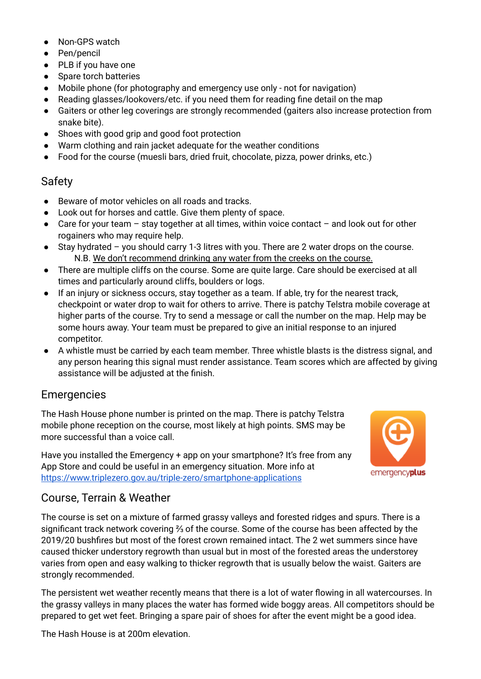- Non-GPS watch
- Pen/pencil
- PLB if you have one
- Spare torch batteries
- Mobile phone (for photography and emergency use only not for navigation)
- Reading glasses/lookovers/etc. if you need them for reading fine detail on the map
- Gaiters or other leg coverings are strongly recommended (gaiters also increase protection from snake bite).
- Shoes with good grip and good foot protection
- Warm clothing and rain jacket adequate for the weather conditions
- Food for the course (muesli bars, dried fruit, chocolate, pizza, power drinks, etc.)

#### Safety

- Beware of motor vehicles on all roads and tracks.
- Look out for horses and cattle. Give them plenty of space.
- Care for your team  $-$  stay together at all times, within voice contact  $-$  and look out for other rogainers who may require help.
- Stay hydrated you should carry 1-3 litres with you. There are 2 water drops on the course. N.B. We don't recommend drinking any water from the creeks on the course.
- There are multiple cliffs on the course. Some are quite large. Care should be exercised at all times and particularly around cliffs, boulders or logs.
- If an injury or sickness occurs, stay together as a team. If able, try for the nearest track, checkpoint or water drop to wait for others to arrive. There is patchy Telstra mobile coverage at higher parts of the course. Try to send a message or call the number on the map. Help may be some hours away. Your team must be prepared to give an initial response to an injured competitor.
- A whistle must be carried by each team member. Three whistle blasts is the distress signal, and any person hearing this signal must render assistance. Team scores which are affected by giving assistance will be adjusted at the finish.

#### Emergencies

The Hash House phone number is printed on the map. There is patchy Telstra mobile phone reception on the course, most likely at high points. SMS may be more successful than a voice call.

Have you installed the Emergency + app on your smartphone? It's free from any App Store and could be useful in an emergency situation. More info at <https://www.triplezero.gov.au/triple-zero/smartphone-applications>



#### Course, Terrain & Weather

The course is set on a mixture of farmed grassy valleys and forested ridges and spurs. There is a significant track network covering ⅔ of the course. Some of the course has been affected by the 2019/20 bushfires but most of the forest crown remained intact. The 2 wet summers since have caused thicker understory regrowth than usual but in most of the forested areas the understorey varies from open and easy walking to thicker regrowth that is usually below the waist. Gaiters are strongly recommended.

The persistent wet weather recently means that there is a lot of water flowing in all watercourses. In the grassy valleys in many places the water has formed wide boggy areas. All competitors should be prepared to get wet feet. Bringing a spare pair of shoes for after the event might be a good idea.

The Hash House is at 200m elevation.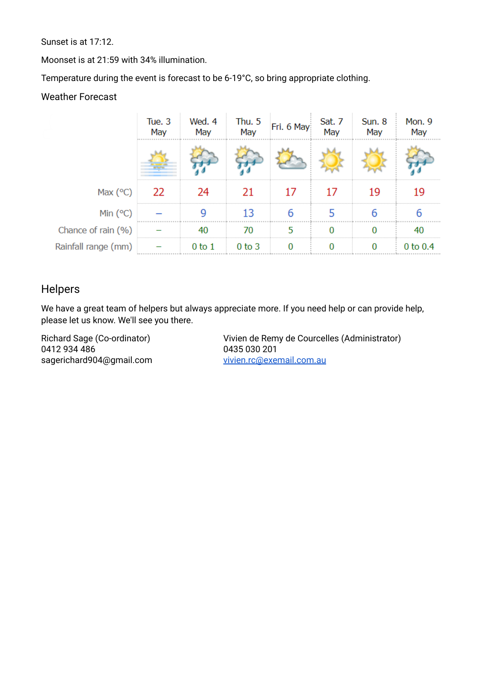Sunset is at 17:12.

Moonset is at 21:59 with 34% illumination.

Temperature during the event is forecast to be 6-19°C, so bring appropriate clothing.

#### Weather Forecast

|                     | Tue. 3<br>May | Wed. 4<br>May | Thu. 5<br>May | Fri. 6 May    | Sat. 7<br>May | Sun. 8<br>May | Mon. 9<br>May |
|---------------------|---------------|---------------|---------------|---------------|---------------|---------------|---------------|
|                     |               |               |               |               |               |               |               |
| Max $(°C)$          | - 22          |               | 21            | $\frac{1}{2}$ | 17            | 19            | 19            |
| Min(°C)             |               |               | 13            |               |               |               |               |
| Chance of rain (%)  |               |               | 70            | 5             |               |               | 40            |
| Rainfall range (mm) |               | $0$ to $1$    | $0$ to $3$    |               |               |               | $0$ to $0.4$  |

#### Helpers

We have a great team of helpers but always appreciate more. If you need help or can provide help, please let us know. We'll see you there.

Richard Sage (Co-ordinator) 0412 934 486 sagerichard904@gmail.com

Vivien de Remy de Courcelles (Administrator) 0435 030 201 [vivien.rc@exemail.com.au](mailto:vivien.rc@exemail.com.au)